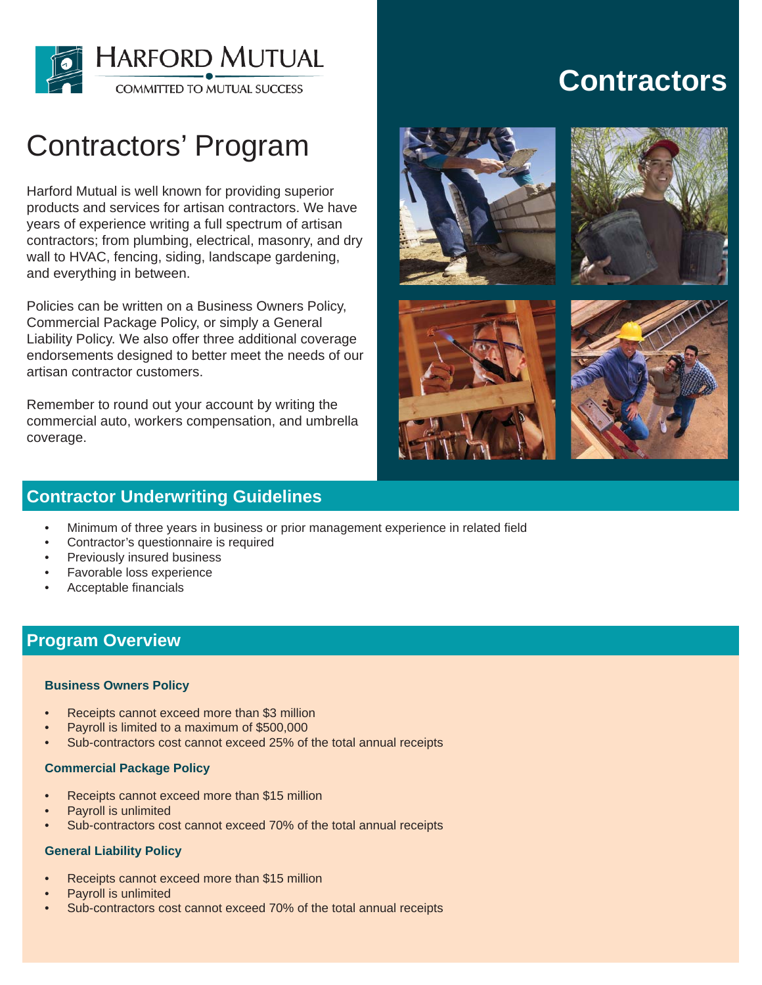

# Contractors' Program

Harford Mutual is well known for providing superior products and services for artisan contractors. We have years of experience writing a full spectrum of artisan contractors; from plumbing, electrical, masonry, and dry wall to HVAC, fencing, siding, landscape gardening, and everything in between.

Policies can be written on a Business Owners Policy, Commercial Package Policy, or simply a General Liability Policy. We also offer three additional coverage endorsements designed to better meet the needs of our artisan contractor customers.

Remember to round out your account by writing the commercial auto, workers compensation, and umbrella coverage.

## **Contractors**









## **Contractor Underwriting Guidelines**

- Minimum of three years in business or prior management experience in related field •
- Contractor's questionnaire is required •
- Previously insured business •
- Favorable loss experience •
- Acceptable financials •

### **Program Overview**

#### **Business Owners Policy**

- Receipts cannot exceed more than \$3 million •
- Payroll is limited to a maximum of \$500,000 •
- Sub-contractors cost cannot exceed 25% of the total annual receipts •

#### **Commercial Package Policy**

- Receipts cannot exceed more than \$15 million •
- Payroll is unlimited •
- Sub-contractors cost cannot exceed 70% of the total annual receipts •

#### **General Liability Policy**

- Receipts cannot exceed more than \$15 million •
- Payroll is unlimited •
- Sub-contractors cost cannot exceed 70% of the total annual receipts •